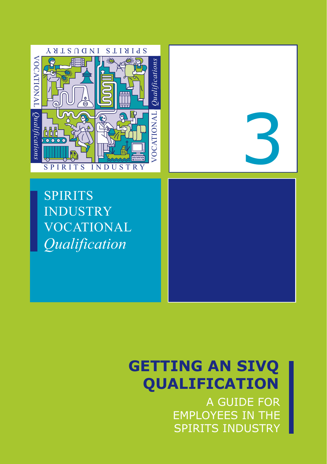

SPIRITS INDUSTRY VOCATIONAL *Qualification*



# **GETTING AN SIVQ QUALIFICATION**

A GUIDE FOR EMPLOYEES IN THE SPIRITS INDUSTRY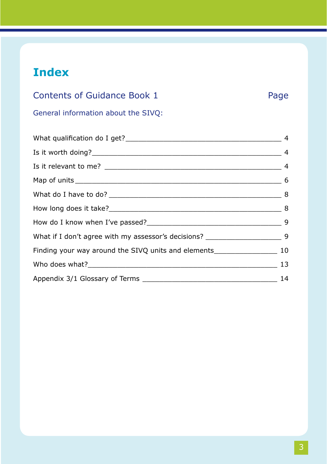# **Index**

| Contents of Guidance Book 1         | Page |
|-------------------------------------|------|
| General information about the SIVO: |      |

| What if I don't agree with my assessor's decisions? ____________________________9    |  |
|--------------------------------------------------------------------------------------|--|
| Finding your way around the SIVQ units and elements______________________________ 10 |  |
|                                                                                      |  |
|                                                                                      |  |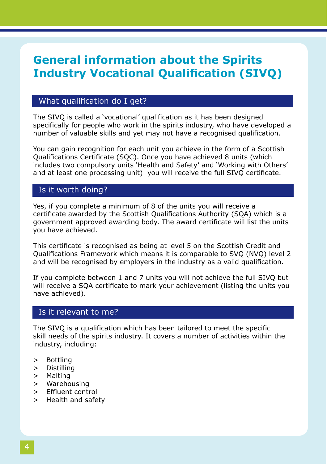# **General information about the Spirits Industry Vocational Qualification (SIVQ)**

### What qualification do I get?

The SIVQ is called a 'vocational' qualification as it has been designed specifically for people who work in the spirits industry, who have developed a number of valuable skills and yet may not have a recognised qualification.

You can gain recognition for each unit you achieve in the form of a Scottish Qualifications Certificate (SQC). Once you have achieved 8 units (which includes two compulsory units 'Health and Safety' and 'Working with Others' and at least one processing unit) you will receive the full SIVQ certificate.

### Is it worth doing?

Yes, if you complete a minimum of 8 of the units you will receive a certificate awarded by the Scottish Qualifications Authority (SQA) which is a government approved awarding body. The award certificate will list the units you have achieved.

This certificate is recognised as being at level 5 on the Scottish Credit and Qualifications Framework which means it is comparable to SVQ (NVQ) level 2 and will be recognised by employers in the industry as a valid qualification.

If you complete between 1 and 7 units you will not achieve the full SIVQ but will receive a SQA certificate to mark your achievement (listing the units you have achieved).

### Is it relevant to me?

The SIVQ is a qualification which has been tailored to meet the specific skill needs of the spirits industry. It covers a number of activities within the industry, including:

- > Bottling
- > Distilling
- > Malting
- > Warehousing
- > Effluent control
- > Health and safety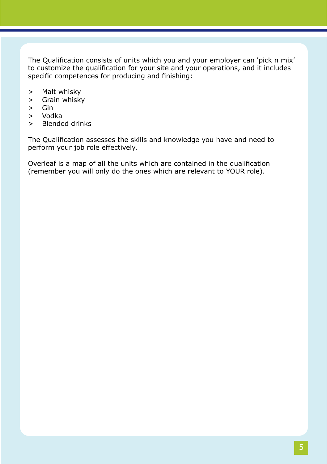The Qualification consists of units which you and your employer can 'pick n mix' to customize the qualification for your site and your operations, and it includes specific competences for producing and finishing:

- > Malt whisky
- > Grain whisky
- > Gin
- > Vodka
- > Blended drinks

The Qualification assesses the skills and knowledge you have and need to perform your job role effectively.

Overleaf is a map of all the units which are contained in the qualification (remember you will only do the ones which are relevant to YOUR role).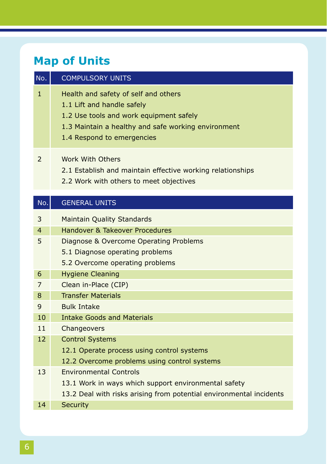# **Map of Units**

| No.                      | <b>COMPULSORY UNITS</b>                                                                                                                                                                            |
|--------------------------|----------------------------------------------------------------------------------------------------------------------------------------------------------------------------------------------------|
| $\mathbf{1}$             | Health and safety of self and others<br>1.1 Lift and handle safely<br>1.2 Use tools and work equipment safely<br>1.3 Maintain a healthy and safe working environment<br>1.4 Respond to emergencies |
| $\mathcal{P}$            | Work With Others<br>2.1 Establish and maintain effective working relationships<br>2.2 Work with others to meet objectives                                                                          |
| No.                      | <b>GENERAL UNITS</b>                                                                                                                                                                               |
| 3<br>$\overline{4}$<br>5 | <b>Maintain Quality Standards</b><br>Handover & Takeover Procedures<br>Diagnose & Overcome Operating Problems                                                                                      |
|                          | 5.1 Diagnose operating problems<br>5.2 Overcome operating problems                                                                                                                                 |
| 6                        | <b>Hygiene Cleaning</b>                                                                                                                                                                            |
| 7<br>8                   | Clean in-Place (CIP)<br><b>Transfer Materials</b>                                                                                                                                                  |
| 9                        | <b>Bulk Intake</b>                                                                                                                                                                                 |
| 10                       | <b>Intake Goods and Materials</b>                                                                                                                                                                  |
| 11                       | Changeovers                                                                                                                                                                                        |
| 12                       | <b>Control Systems</b><br>12.1 Operate process using control systems<br>12.2 Overcome problems using control systems<br><b>Environmental Controls</b>                                              |
| 13                       |                                                                                                                                                                                                    |

- 13.1 Work in ways which support environmental safety
- 13.2 Deal with risks arising from potential environmental incidents
- 14 Security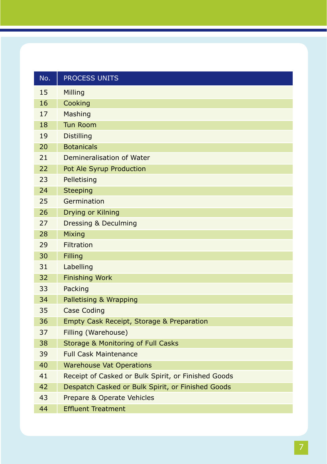| No. | PROCESS UNITS                                       |
|-----|-----------------------------------------------------|
| 15  | Milling                                             |
| 16  | Cooking                                             |
| 17  | Mashing                                             |
| 18  | <b>Tun Room</b>                                     |
| 19  | <b>Distilling</b>                                   |
| 20  | <b>Botanicals</b>                                   |
| 21  | Demineralisation of Water                           |
| 22  | Pot Ale Syrup Production                            |
| 23  | Pelletising                                         |
| 24  | <b>Steeping</b>                                     |
| 25  | Germination                                         |
| 26  | Drying or Kilning                                   |
| 27  | <b>Dressing &amp; Deculming</b>                     |
| 28  | Mixing                                              |
| 29  | Filtration                                          |
| 30  | Filling                                             |
| 31  | Labelling                                           |
| 32  | <b>Finishing Work</b>                               |
| 33  | Packing                                             |
| 34  | Palletising & Wrapping                              |
| 35  | Case Coding                                         |
| 36  | Empty Cask Receipt, Storage & Preparation           |
| 37  | Filling (Warehouse)                                 |
| 38  | Storage & Monitoring of Full Casks                  |
| 39  | <b>Full Cask Maintenance</b>                        |
| 40  | <b>Warehouse Vat Operations</b>                     |
| 41  | Receipt of Casked or Bulk Spirit, or Finished Goods |
| 42  | Despatch Casked or Bulk Spirit, or Finished Goods   |
| 43  | Prepare & Operate Vehicles                          |
| 44  | <b>Effluent Treatment</b>                           |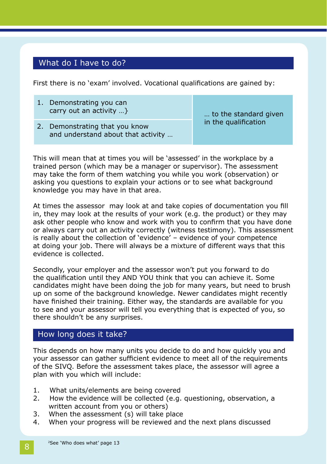### What do I have to do?

First there is no 'exam' involved. Vocational qualifications are gained by:

1. Demonstrating you can carry out an activity …}

í

2. Demonstrating that you know and understand about that activity …

standard ... to the standard given in the qualification

This will mean that at times you will be 'assessed' in the workplace by a trained person (which may be a manager or supervisor). The assessment may take the form of them watching you while you work (observation) or asking you questions to explain your actions or to see what background knowledge you may have in that area.

At times the assessor may look at and take copies of documentation you fill in, they may look at the results of your work (e.g. the product) or they may ask other people who know and work with you to confirm that you have done or always carry out an activity correctly (witness testimony). This assessment is really about the collection of 'evidence' – evidence of your competence at doing your job. There will always be a mixture of different ways that this evidence is collected.

Secondly, your employer and the assessor won't put you forward to do the qualification until they AND YOU think that you can achieve it. Some candidates might have been doing the job for many years, but need to brush up on some of the background knowledge. Newer candidates might recently have finished their training. Either way, the standards are available for you to see and your assessor will tell you everything that is expected of you, so there shouldn't be any surprises.

### How long does it take?

This depends on how many units you decide to do and how quickly you and your assessor can gather sufficient evidence to meet all of the requirements of the SIVQ. Before the assessment takes place, the assessor will agree a plan with you which will include:

- 1. What units/elements are being covered
- 2. How the evidence will be collected (e.g. questioning, observation, a written account from you or others)
- 3. When the assessment (s) will take place
- 4. When your progress will be reviewed and the next plans discussed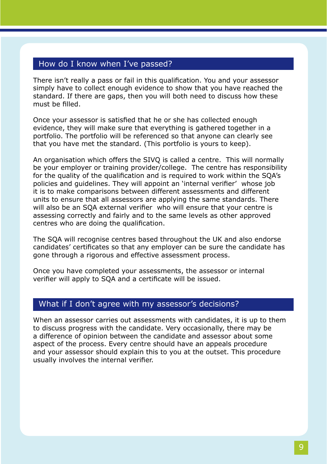### How do I know when I've passed?

There isn't really a pass or fail in this qualification. You and your assessor simply have to collect enough evidence to show that you have reached the standard. If there are gaps, then you will both need to discuss how these must be filled.

Once your assessor is satisfied that he or she has collected enough evidence, they will make sure that everything is gathered together in a portfolio. The portfolio will be referenced so that anyone can clearly see that you have met the standard. (This portfolio is yours to keep).

An organisation which offers the SIVQ is called a centre. This will normally be your employer or training provider/college. The centre has responsibility for the quality of the qualification and is required to work within the SQA's policies and guidelines. They will appoint an 'internal verifier' whose job it is to make comparisons between different assessments and different units to ensure that all assessors are applying the same standards. There will also be an SQA external verifier who will ensure that your centre is assessing correctly and fairly and to the same levels as other approved centres who are doing the qualification.

The SQA will recognise centres based throughout the UK and also endorse candidates' certificates so that any employer can be sure the candidate has gone through a rigorous and effective assessment process.

Once you have completed your assessments, the assessor or internal verifier will apply to SQA and a certificate will be issued.

#### What if I don't agree with my assessor's decisions?

When an assessor carries out assessments with candidates, it is up to them to discuss progress with the candidate. Very occasionally, there may be a difference of opinion between the candidate and assessor about some aspect of the process. Every centre should have an appeals procedure and your assessor should explain this to you at the outset. This procedure usually involves the internal verifier.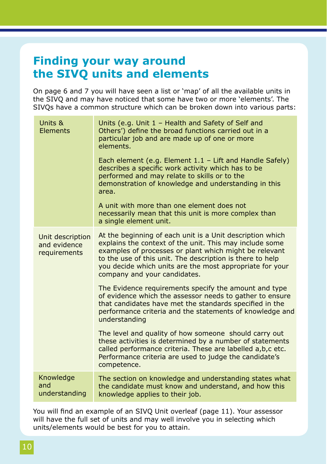# **Finding your way around the SIVQ units and elements**

On page 6 and 7 you will have seen a list or 'map' of all the available units in the SIVQ and may have noticed that some have two or more 'elements'. The SIVQs have a common structure which can be broken down into various parts:

| Units &<br>Elements                              | Units (e.g. Unit $1$ – Health and Safety of Self and<br>Others') define the broad functions carried out in a<br>particular job and are made up of one or more<br>elements.<br>Each element (e.g. Element $1.1 -$ Lift and Handle Safely)<br>describes a specific work activity which has to be<br>performed and may relate to skills or to the<br>demonstration of knowledge and understanding in this<br>area.<br>A unit with more than one element does not<br>necessarily mean that this unit is more complex than<br>a single element unit. |
|--------------------------------------------------|-------------------------------------------------------------------------------------------------------------------------------------------------------------------------------------------------------------------------------------------------------------------------------------------------------------------------------------------------------------------------------------------------------------------------------------------------------------------------------------------------------------------------------------------------|
| Unit description<br>and evidence<br>requirements | At the beginning of each unit is a Unit description which<br>explains the context of the unit. This may include some<br>examples of processes or plant which might be relevant<br>to the use of this unit. The description is there to help<br>you decide which units are the most appropriate for your<br>company and your candidates.                                                                                                                                                                                                         |
|                                                  | The Evidence requirements specify the amount and type<br>of evidence which the assessor needs to gather to ensure<br>that candidates have met the standards specified in the<br>performance criteria and the statements of knowledge and<br>understanding                                                                                                                                                                                                                                                                                       |
|                                                  | The level and quality of how someone should carry out<br>these activities is determined by a number of statements<br>called performance criteria. These are labelled a, b, c etc.<br>Performance criteria are used to judge the candidate's<br>competence.                                                                                                                                                                                                                                                                                      |
| Knowledge<br>and<br>understanding                | The section on knowledge and understanding states what<br>the candidate must know and understand, and how this<br>knowledge applies to their job.                                                                                                                                                                                                                                                                                                                                                                                               |

You will find an example of an SIVQ Unit overleaf (page 11). Your assessor will have the full set of units and may well involve you in selecting which units/elements would be best for you to attain.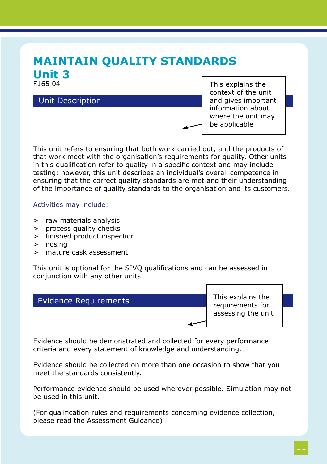## **MAINTAIN QUALITY STANDARDS Unit 3** F165 04

### Unit Description

This explains the context of the unit and gives important information about where the unit may be applicable

This unit refers to ensuring that both work carried out, and the products of that work meet with the organisation's requirements for quality. Other units in this qualification refer to quality in a specific context and may include testing; however, this unit describes an individual's overall competence in ensuring that the correct quality standards are met and their understanding of the importance of quality standards to the organisation and its customers.

#### Activities may include:

- > raw materials analysis
- > process quality checks
- > finished product inspection
- > nosing
- > mature cask assessment

This unit is optional for the SIVQ qualifications and can be assessed in conjunction with any other units.

### Evidence Requirements

This explains the requirements for assessing the unit

Evidence should be demonstrated and collected for every performance criteria and every statement of knowledge and understanding.

Evidence should be collected on more than one occasion to show that you meet the standards consistently.

Performance evidence should be used wherever possible. Simulation may not be used in this unit.

(For qualification rules and requirements concerning evidence collection, please read the Assessment Guidance)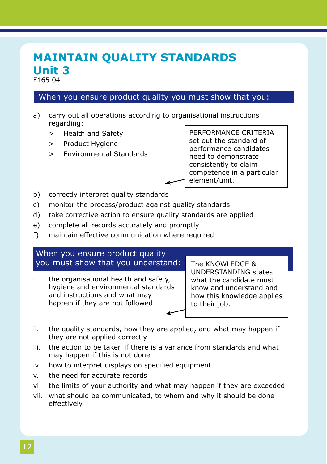## **MAINTAIN QUALITY STANDARDS Unit 3** F165 04

### When you ensure product quality you must show that you:

- a) carry out all operations according to organisational instructions regarding:
	- > Health and Safety
	- > Product Hygiene
	- > Environmental Standards

PERFORMANCE CRITERIA set out the standard of performance candidates need to demonstrate consistently to claim competence in a particular element/unit.

- b) correctly interpret quality standards
- c) monitor the process/product against quality standards
- d) take corrective action to ensure quality standards are applied
- e) complete all records accurately and promptly
- f) maintain effective communication where required

### When you ensure product quality you must show that you understand:

i. the organisational health and safety, hygiene and environmental standards and instructions and what may happen if they are not followed

The KNOWLEDGE & UNDERSTANDING states what the candidate must know and understand and how this knowledge applies to their job.

- ii. the quality standards, how they are applied, and what may happen if they are not applied correctly
- iii. the action to be taken if there is a variance from standards and what may happen if this is not done
- iv. how to interpret displays on specified equipment
- v. the need for accurate records
- vi. the limits of your authority and what may happen if they are exceeded
- vii. what should be communicated, to whom and why it should be done effectively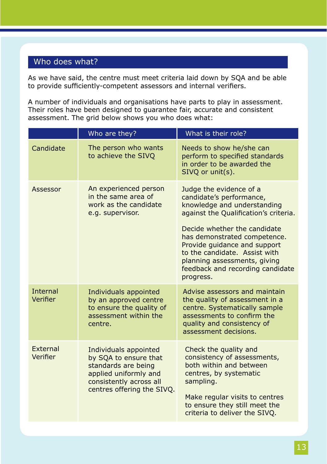## Who does what?

As we have said, the centre must meet criteria laid down by SQA and be able to provide sufficiently-competent assessors and internal verifiers.

A number of individuals and organisations have parts to play in assessment. Their roles have been designed to guarantee fair, accurate and consistent assessment. The grid below shows you who does what:

|                             | Who are they?                                                                                                                                           | What is their role?                                                                                                                                                                                                                                                                                                                           |
|-----------------------------|---------------------------------------------------------------------------------------------------------------------------------------------------------|-----------------------------------------------------------------------------------------------------------------------------------------------------------------------------------------------------------------------------------------------------------------------------------------------------------------------------------------------|
| Candidate                   | The person who wants<br>to achieve the SIVQ                                                                                                             | Needs to show he/she can<br>perform to specified standards<br>in order to be awarded the<br>$SIVO$ or unit $(s)$ .                                                                                                                                                                                                                            |
| Assessor                    | An experienced person<br>in the same area of<br>work as the candidate<br>e.g. supervisor.                                                               | Judge the evidence of a<br>candidate's performance,<br>knowledge and understanding<br>against the Qualification's criteria.<br>Decide whether the candidate<br>has demonstrated competence.<br>Provide guidance and support<br>to the candidate. Assist with<br>planning assessments, giving<br>feedback and recording candidate<br>progress. |
| <b>Internal</b><br>Verifier | Individuals appointed<br>by an approved centre<br>to ensure the quality of<br>assessment within the<br>centre.                                          | Advise assessors and maintain<br>the quality of assessment in a<br>centre. Systematically sample<br>assessments to confirm the<br>quality and consistency of<br>assessment decisions.                                                                                                                                                         |
| <b>External</b><br>Verifier | Individuals appointed<br>by SQA to ensure that<br>standards are being<br>applied uniformly and<br>consistently across all<br>centres offering the SIVQ. | Check the quality and<br>consistency of assessments,<br>both within and between<br>centres, by systematic<br>sampling.<br>Make regular visits to centres<br>to ensure they still meet the<br>criteria to deliver the SIVO.                                                                                                                    |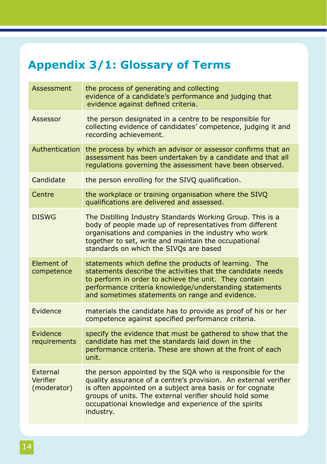# **Appendix 3/1: Glossary of Terms**

| Assessment                          | the process of generating and collecting<br>evidence of a candidate's performance and judging that<br>evidence against defined criteria.                                                                                                                                                                                   |
|-------------------------------------|----------------------------------------------------------------------------------------------------------------------------------------------------------------------------------------------------------------------------------------------------------------------------------------------------------------------------|
| Assessor                            | the person designated in a centre to be responsible for<br>collecting evidence of candidates' competence, judging it and<br>recording achievement.                                                                                                                                                                         |
| Authentication                      | the process by which an advisor or assessor confirms that an<br>assessment has been undertaken by a candidate and that all<br>regulations governing the assessment have been observed.                                                                                                                                     |
| Candidate                           | the person enrolling for the SIVQ qualification.                                                                                                                                                                                                                                                                           |
| Centre                              | the workplace or training organisation where the SIVQ<br>qualifications are delivered and assessed.                                                                                                                                                                                                                        |
| <b>DISWG</b>                        | The Distilling Industry Standards Working Group. This is a<br>body of people made up of representatives from different<br>organisations and companies in the industry who work<br>together to set, write and maintain the occupational<br>standards on which the SIVQs are based                                           |
| Element of<br>competence            | statements which define the products of learning. The<br>statements describe the activities that the candidate needs<br>to perform in order to achieve the unit. They contain<br>performance criteria knowledge/understanding statements<br>and sometimes statements on range and evidence.                                |
| Evidence                            | materials the candidate has to provide as proof of his or her<br>competence against specified performance criteria.                                                                                                                                                                                                        |
| Evidence<br>requirements            | specify the evidence that must be gathered to show that the<br>candidate has met the standards laid down in the<br>performance criteria. These are shown at the front of each<br>unit.                                                                                                                                     |
| External<br>Verifier<br>(moderator) | the person appointed by the SQA who is responsible for the<br>quality assurance of a centre's provision. An external verifier<br>is often appointed on a subject area basis or for cognate<br>groups of units. The external verifier should hold some<br>occupational knowledge and experience of the spirits<br>industry. |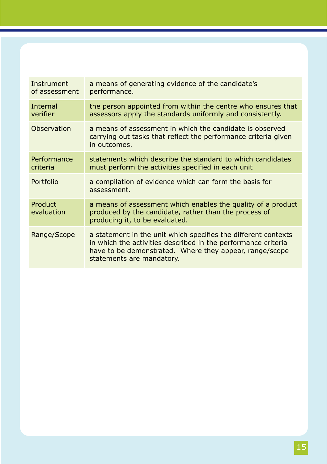| Instrument<br>of assessment | a means of generating evidence of the candidate's<br>performance.                                                                                                                                                       |
|-----------------------------|-------------------------------------------------------------------------------------------------------------------------------------------------------------------------------------------------------------------------|
| Internal<br>verifier        | the person appointed from within the centre who ensures that<br>assessors apply the standards uniformly and consistently.                                                                                               |
| Observation                 | a means of assessment in which the candidate is observed<br>carrying out tasks that reflect the performance criteria given<br>in outcomes.                                                                              |
| Performance<br>criteria     | statements which describe the standard to which candidates<br>must perform the activities specified in each unit                                                                                                        |
| Portfolio                   | a compilation of evidence which can form the basis for<br>assessment.                                                                                                                                                   |
| Product<br>evaluation       | a means of assessment which enables the quality of a product<br>produced by the candidate, rather than the process of<br>producing it, to be evaluated.                                                                 |
| Range/Scope                 | a statement in the unit which specifies the different contexts<br>in which the activities described in the performance criteria<br>have to be demonstrated. Where they appear, range/scope<br>statements are mandatory. |